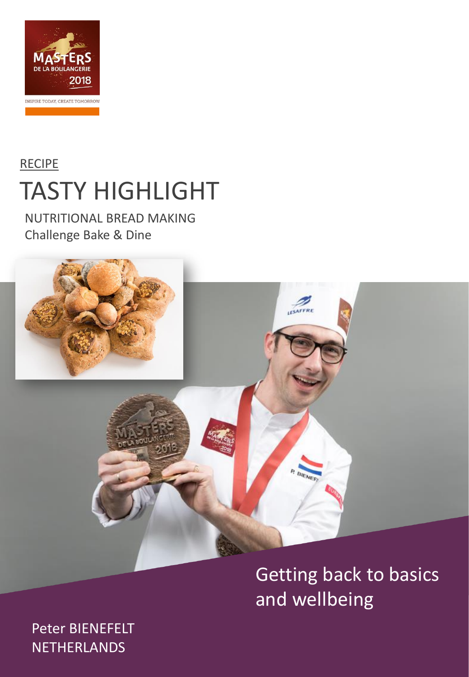

## **RECIPE** TASTY HIGHLIGHT

NUTRITIONAL BREAD MAKING Challenge Bake & Dine



## Getting back to basics and wellbeing

Peter BIENEFELT NETHERLANDS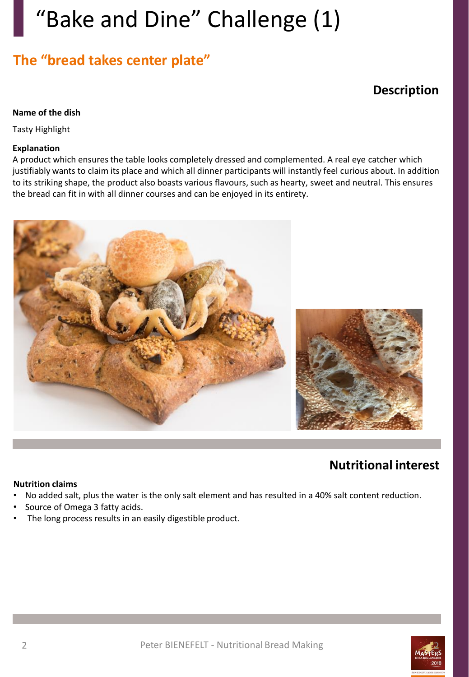# "Bake and Dine" Challenge (1)

## **The "bread takes center plate"**

### **Description**

#### **Name of the dish**

Tasty Highlight

#### **Explanation**

A product which ensures the table looks completely dressed and complemented. A real eye catcher which justifiably wants to claim its place and which all dinner participants will instantly feel curious about. In addition to its striking shape, the product also boasts various flavours, such as hearty, sweet and neutral. This ensures the bread can fit in with all dinner courses and can be enjoyed in its entirety.



### **Nutritional interest**

#### **Nutrition claims**

- No added salt, plus the water is the only salt element and has resulted in a 40% salt content reduction.
- Source of Omega 3 fatty acids.
- The long process results in an easily digestible product.

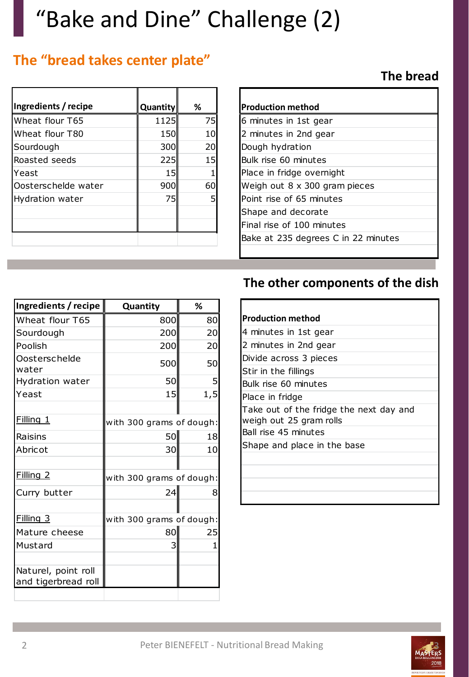# "Bake and Dine" Challenge (2)

## **The "bread takes center plate"**

| Ingredients / recipe   | Quantity | %  |
|------------------------|----------|----|
| Wheat flour T65        | 1125     | 75 |
| Wheat flour T80        | 150      | 10 |
| Sourdough              | 300      | 20 |
| Roasted seeds          | 225      | 15 |
| Yeast                  | 15       |    |
| Oosterschelde water    | 900      | 60 |
| <b>Hydration water</b> | 75       |    |
|                        |          |    |
|                        |          |    |
|                        |          |    |

### **The bread**

| Production method                    |  |
|--------------------------------------|--|
| 6 minutes in 1st gear                |  |
| 2 minutes in 2nd gear                |  |
| Dough hydration                      |  |
| Bulk rise 60 minutes                 |  |
| Place in fridge overnight            |  |
| Weigh out $8 \times 300$ gram pieces |  |
| Point rise of 65 minutes             |  |
| Shape and decorate                   |  |
| Final rise of 100 minutes            |  |
| Bake at 235 degrees C in 22 minutes  |  |
|                                      |  |

## **The other components of the dish**

| Ingredients / recipe   | Quantity                 | ℅    |  |
|------------------------|--------------------------|------|--|
| Wheat flour T65        | 800                      | 80   |  |
| Sourdough              | 200                      | 20   |  |
| Poolish                | 200                      | 20   |  |
| Oosterschelde<br>water | 500                      | 50   |  |
| Hydration water        | 50                       | 5    |  |
| Yeast                  | 15                       | 1, 5 |  |
|                        |                          |      |  |
| Filling 1              | with 300 grams of dough: |      |  |
| Raisins                | 50                       | 18   |  |
| Abricot                | 30                       | 10   |  |
|                        |                          |      |  |
| Filling <sub>2</sub>   | with 300 grams of dough: |      |  |
| Curry butter           | 24                       | 8    |  |
|                        |                          |      |  |
| Filling 3              | with 300 grams of dough: |      |  |
| Mature cheese          | 80                       | 25   |  |
| Mustard                | 3                        | 1    |  |
|                        |                          |      |  |
| Naturel, point roll    |                          |      |  |
| and tigerbread roll    |                          |      |  |
|                        |                          |      |  |

| Production method                                                  |
|--------------------------------------------------------------------|
| 4 minutes in 1st gear                                              |
| 2 minutes in 2nd gear                                              |
| Divide across 3 pieces                                             |
| Stir in the fillings                                               |
| Bulk rise 60 minutes                                               |
| Place in fridge                                                    |
| Take out of the fridge the next day and<br>weigh out 25 gram rolls |
| Ball rise 45 minutes                                               |
| Shape and place in the base                                        |
|                                                                    |
|                                                                    |
|                                                                    |

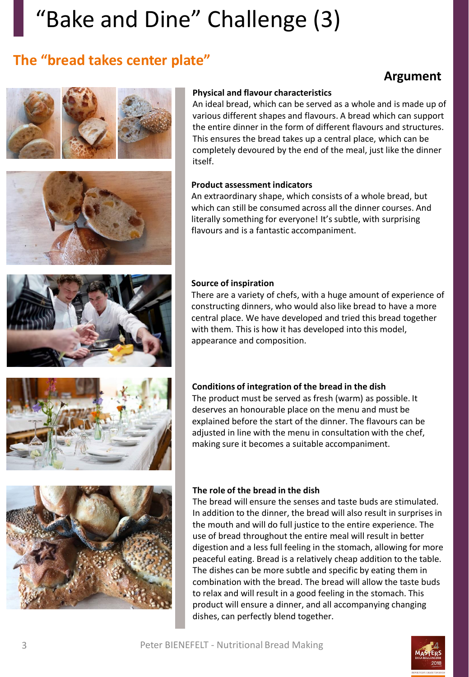# "Bake and Dine" Challenge (3)

## **The "bread takes center plate"**

## **Argument**





### **Physical and flavour characteristics**

An ideal bread, which can be served as a whole and is made up of various different shapes and flavours. A bread which can support the entire dinner in the form of different flavours and structures. This ensures the bread takes up a central place, which can be completely devoured by the end of the meal, just like the dinner itself.

#### **Product assessment indicators**

An extraordinary shape, which consists of a whole bread, but which can still be consumed across all the dinner courses. And literally something for everyone! It's subtle, with surprising flavours and is a fantastic accompaniment.

#### **Source of inspiration**

There are a variety of chefs, with a huge amount of experience of constructing dinners, who would also like bread to have a more central place. We have developed and tried this bread together with them. This is how it has developed into this model, appearance and composition.



#### **Conditions of integration of the bread in the dish**

The product must be served as fresh (warm) as possible. It deserves an honourable place on the menu and must be explained before the start of the dinner. The flavours can be adjusted in line with the menu in consultation with the chef, making sure it becomes a suitable accompaniment.



#### **The role of the bread in the dish**

The bread will ensure the senses and taste buds are stimulated. In addition to the dinner, the bread will also result in surprises in the mouth and will do full justice to the entire experience. The use of bread throughout the entire meal will result in better digestion and a less full feeling in the stomach, allowing for more peaceful eating. Bread is a relatively cheap addition to the table. The dishes can be more subtle and specific by eating them in combination with the bread. The bread will allow the taste buds to relax and will result in a good feeling in the stomach. This product will ensure a dinner, and all accompanying changing dishes, can perfectly blend together.